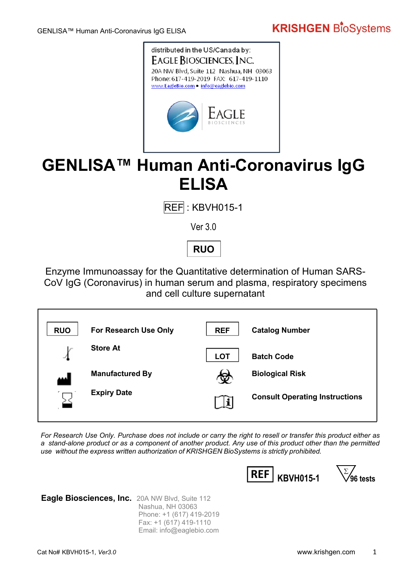# **KRISHGEN BIOSystems**



# **GENLISA™ Human Anti-Coronavirus IgG ELISA**

 $REF: KBVH015-1$ 

Ver 3.0

**RUO**

Enzyme Immunoassay for the Quantitative determination of Human SARS-CoV IgG (Coronavirus) in human serum and plasma, respiratory specimens and cell culture supernatant

| <b>RUO</b> | For Research Use Only  | <b>REF</b> | <b>Catalog Number</b>                 |
|------------|------------------------|------------|---------------------------------------|
|            | <b>Store At</b>        | <b>LOT</b> | <b>Batch Code</b>                     |
| الممم      | <b>Manufactured By</b> | w          | <b>Biological Risk</b>                |
|            | <b>Expiry Date</b>     |            | <b>Consult Operating Instructions</b> |

*For Research Use Only. Purchase does not include or carry the right to resell or transfer this product either as a stand-alone product or as a component of another product. Any use of this product other than the permitted use without the express written authorization of KRISHGEN BioSystems is strictly prohibited.*



**Eagle Biosciences, Inc.** 20A NW Blvd, Suite 112 Nashua, NH 03063 Phone: +1 (617) 419-2019 Fax: +1 (617) 419-1110 Email: info@eaglebio.com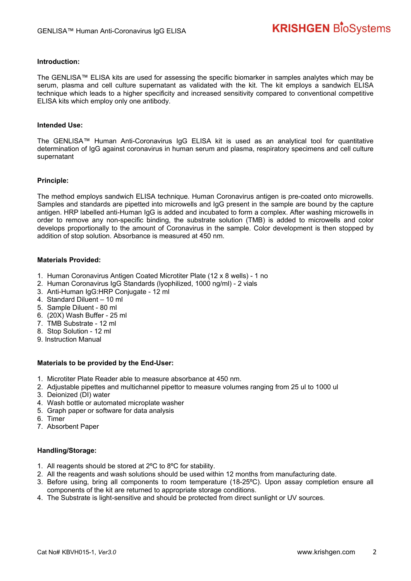### **Introduction:**

The GENLISA™ ELISA kits are used for assessing the specific biomarker in samples analytes which may be serum, plasma and cell culture supernatant as validated with the kit. The kit employs a sandwich ELISA technique which leads to a higher specificity and increased sensitivity compared to conventional competitive ELISA kits which employ only one antibody.

### **Intended Use:**

The GENLISA™ Human Anti-Coronavirus IgG ELISA kit is used as an analytical tool for quantitative determination of IgG against coronavirus in human serum and plasma, respiratory specimens and cell culture supernatant

### **Principle:**

The method employs sandwich ELISA technique. Human Coronavirus antigen is pre-coated onto microwells. Samples and standards are pipetted into microwells and IgG present in the sample are bound by the capture antigen. HRP labelled anti-Human IgG is added and incubated to form a complex. After washing microwells in order to remove any non-specific binding, the substrate solution (TMB) is added to microwells and color develops proportionally to the amount of Coronavirus in the sample. Color development is then stopped by addition of stop solution. Absorbance is measured at 450 nm.

### **Materials Provided:**

- 1. Human Coronavirus Antigen Coated Microtiter Plate (12 x 8 wells) 1 no
- 2. Human Coronavirus IgG Standards (lyophilized, 1000 ng/ml) 2 vials
- 3. Anti-Human IgG:HRP Conjugate 12 ml
- 4. Standard Diluent 10 ml
- 5. Sample Diluent 80 ml
- 6. (20X) Wash Buffer 25 ml
- 7. TMB Substrate 12 ml
- 8. Stop Solution 12 ml
- 9. Instruction Manual

### **Materials to be provided by the End-User:**

- 1. Microtiter Plate Reader able to measure absorbance at 450 nm.
- 2. Adjustable pipettes and multichannel pipettor to measure volumes ranging from 25 ul to 1000 ul
- 3. Deionized (DI) water
- 4. Wash bottle or automated microplate washer
- 5. Graph paper or software for data analysis
- 6. Timer
- 7. Absorbent Paper

### **Handling/Storage:**

- 1. All reagents should be stored at 2ºC to 8ºC for stability.
- 2. All the reagents and wash solutions should be used within 12 months from manufacturing date.
- 3. Before using, bring all components to room temperature (18-25ºC). Upon assay completion ensure all components of the kit are returned to appropriate storage conditions.
- 4. The Substrate is light-sensitive and should be protected from direct sunlight or UV sources.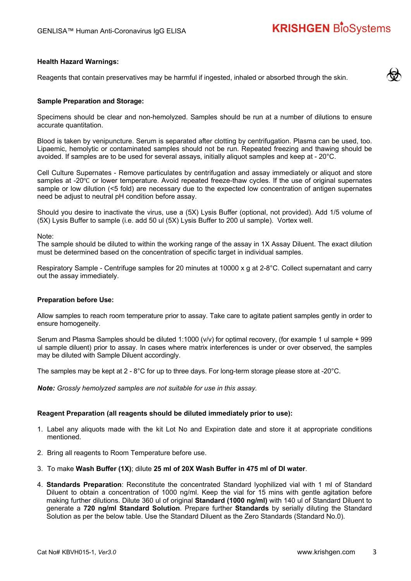# **KRISHGEN BioSystems**

### **Health Hazard Warnings:**

Reagents that contain preservatives may be harmful if ingested, inhaled or absorbed through the skin.

### **Sample Preparation and Storage:**

Specimens should be clear and non-hemolyzed. Samples should be run at a number of dilutions to ensure accurate quantitation.

Blood is taken by venipuncture. Serum is separated after clotting by centrifugation. Plasma can be used, too. Lipaemic, hemolytic or contaminated samples should not be run. Repeated freezing and thawing should be avoided. If samples are to be used for several assays, initially aliquot samples and keep at - 20°C.

Cell Culture Supernates - Remove particulates by centrifugation and assay immediately or aliquot and store samples at -20℃ or lower temperature. Avoid repeated freeze-thaw cycles. If the use of original supernates sample or low dilution (<5 fold) are necessary due to the expected low concentration of antigen supernates need be adjust to neutral pH condition before assay.

Should you desire to inactivate the virus, use a (5X) Lysis Buffer (optional, not provided). Add 1/5 volume of (5X) Lysis Buffer to sample (i.e. add 50 ul (5X) Lysis Buffer to 200 ul sample). Vortex well.

Note:

The sample should be diluted to within the working range of the assay in 1X Assay Diluent. The exact dilution must be determined based on the concentration of specific target in individual samples.

Respiratory Sample - Centrifuge samples for 20 minutes at 10000 x g at 2-8°C. Collect supernatant and carry out the assay immediately.

#### **Preparation before Use:**

Allow samples to reach room temperature prior to assay. Take care to agitate patient samples gently in order to ensure homogeneity.

Serum and Plasma Samples should be diluted 1:1000 (v/v) for optimal recovery, (for example 1 ul sample + 999 ul sample diluent) prior to assay. In cases where matrix interferences is under or over observed, the samples may be diluted with Sample Diluent accordingly.

The samples may be kept at 2 - 8°C for up to three days. For long-term storage please store at -20°C.

*Note: Grossly hemolyzed samples are not suitable for use in this assay.*

#### **Reagent Preparation (all reagents should be diluted immediately prior to use):**

- 1. Label any aliquots made with the kit Lot No and Expiration date and store it at appropriate conditions mentioned.
- 2. Bring all reagents to Room Temperature before use.
- 3. To make **Wash Buffer (1X)**; dilute **25 ml of 20X Wash Buffer in 475 ml of DI water**.
- 4. **Standards Preparation**: Reconstitute the concentrated Standard lyophilized vial with 1 ml of Standard Diluent to obtain a concentration of 1000 ng/ml. Keep the vial for 15 mins with gentle agitation before making further dilutions. Dilute 360 ul of original **Standard (1000 ng/ml)** with 140 ul of Standard Diluent to generate a **720 ng/ml Standard Solution**. Prepare further **Standards** by serially diluting the Standard Solution as per the below table. Use the Standard Diluent as the Zero Standards (Standard No.0).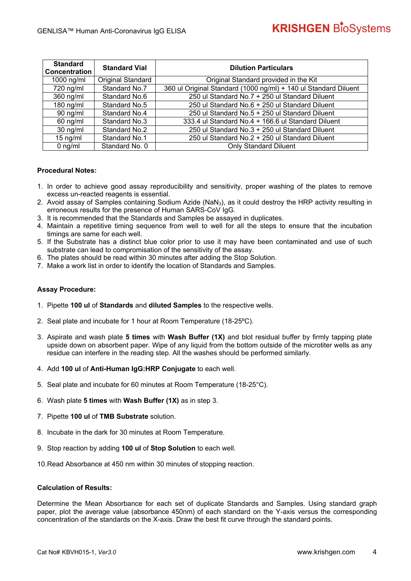| <b>Standard</b><br><b>Concentration</b> | <b>Standard Vial</b>     | <b>Dilution Particulars</b>                                     |
|-----------------------------------------|--------------------------|-----------------------------------------------------------------|
| 1000 ng/ml                              | <b>Original Standard</b> | Original Standard provided in the Kit                           |
| 720 ng/ml                               | Standard No.7            | 360 ul Original Standard (1000 ng/ml) + 140 ul Standard Diluent |
| 360 ng/ml                               | Standard No.6            | 250 ul Standard No.7 + 250 ul Standard Diluent                  |
| $180$ ng/ml                             | Standard No.5            | 250 ul Standard No.6 + 250 ul Standard Diluent                  |
| $90$ ng/ml                              | Standard No.4            | 250 ul Standard No.5 + 250 ul Standard Diluent                  |
| $60$ ng/ml                              | Standard No.3            | 333.4 ul Standard No.4 + 166.6 ul Standard Diluent              |
| $30$ ng/ml                              | Standard No.2            | 250 ul Standard No.3 + 250 ul Standard Diluent                  |
| $15 \text{ ng/ml}$                      | Standard No.1            | 250 ul Standard No.2 + 250 ul Standard Diluent                  |
| $0$ ng/ml                               | Standard No. 0           | <b>Only Standard Diluent</b>                                    |

### **Procedural Notes:**

- 1. In order to achieve good assay reproducibility and sensitivity, proper washing of the plates to remove excess un-reacted reagents is essential.
- 2. Avoid assay of Samples containing Sodium Azide (NaN<sub>3</sub>), as it could destroy the HRP activity resulting in erroneous results for the presence of Human SARS-CoV IgG.
- 3. It is recommended that the Standards and Samples be assayed in duplicates.
- 4. Maintain a repetitive timing sequence from well to well for all the steps to ensure that the incubation timings are same for each well.
- 5. If the Substrate has a distinct blue color prior to use it may have been contaminated and use of such substrate can lead to compromisation of the sensitivity of the assay.
- 6. The plates should be read within 30 minutes after adding the Stop Solution.
- 7. Make a work list in order to identify the location of Standards and Samples.

### **Assay Procedure:**

- 1. Pipette **100 ul** of **Standards** and **diluted Samples** to the respective wells.
- 2. Seal plate and incubate for 1 hour at Room Temperature (18-25ºC).
- 3. Aspirate and wash plate **5 times** with **Wash Buffer (1X)** and blot residual buffer by firmly tapping plate upside down on absorbent paper. Wipe of any liquid from the bottom outside of the microtiter wells as any residue can interfere in the reading step. All the washes should be performed similarly.
- 4. Add **100 ul** of **Anti-Human IgG:HRP Conjugate** to each well.
- 5. Seal plate and incubate for 60 minutes at Room Temperature (18-25°C).
- 6. Wash plate **5 times** with **Wash Buffer (1X)** as in step 3.
- 7. Pipette **100 ul** of **TMB Substrate** solution.
- 8. Incubate in the dark for 30 minutes at Room Temperature.
- 9. Stop reaction by adding **100 ul** of **Stop Solution** to each well.
- 10. Read Absorbance at 450 nm within 30 minutes of stopping reaction.

### **Calculation of Results:**

Determine the Mean Absorbance for each set of duplicate Standards and Samples. Using standard graph paper, plot the average value (absorbance 450nm) of each standard on the Y-axis versus the corresponding concentration of the standards on the X-axis. Draw the best fit curve through the standard points.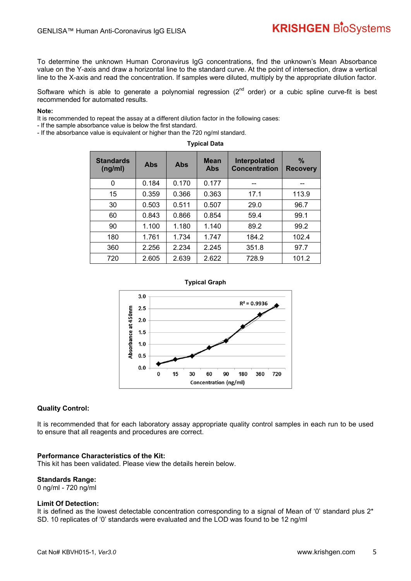## **KRISHGEN BioSystems**

To determine the unknown Human Coronavirus IgG concentrations, find the unknown's Mean Absorbance value on the Y-axis and draw a horizontal line to the standard curve. At the point of intersection, draw a vertical line to the X-axis and read the concentration. If samples were diluted, multiply by the appropriate dilution factor.

Software which is able to generate a polynomial regression  $(2^{nd}$  order) or a cubic spline curve-fit is best recommended for automated results.

### **Note:**

It is recommended to repeat the assay at a different dilution factor in the following cases:

- If the sample absorbance value is below the first standard.

- If the absorbance value is equivalent or higher than the 720 ng/ml standard.

**Typical Data** 

| <b>Standards</b><br>(ng/ml) | Abs   | Abs   | <b>Mean</b><br>Abs | Interpolated<br><b>Concentration</b> | $\%$<br><b>Recovery</b> |
|-----------------------------|-------|-------|--------------------|--------------------------------------|-------------------------|
| 0                           | 0.184 | 0.170 | 0.177              |                                      |                         |
| 15                          | 0.359 | 0.366 | 0.363              | 17.1                                 | 113.9                   |
| 30                          | 0.503 | 0.511 | 0.507              | 29.0                                 | 96.7                    |
| 60                          | 0.843 | 0.866 | 0.854              | 59.4                                 | 99.1                    |
| 90                          | 1.100 | 1.180 | 1.140              | 89.2                                 | 99.2                    |
| 180                         | 1.761 | 1.734 | 1.747              | 184.2                                | 102.4                   |
| 360                         | 2.256 | 2.234 | 2.245              | 351.8                                | 97.7                    |
| 720                         | 2.605 | 2.639 | 2.622              | 728.9                                | 101.2                   |



### **Quality Control:**

It is recommended that for each laboratory assay appropriate quality control samples in each run to be used to ensure that all reagents and procedures are correct.

#### **Performance Characteristics of the Kit:**

This kit has been validated. Please view the details herein below.

### **Standards Range:**

0 ng/ml - 720 ng/ml

#### **Limit Of Detection:**

It is defined as the lowest detectable concentration corresponding to a signal of Mean of '0' standard plus 2\* SD. 10 replicates of '0' standards were evaluated and the LOD was found to be 12 ng/ml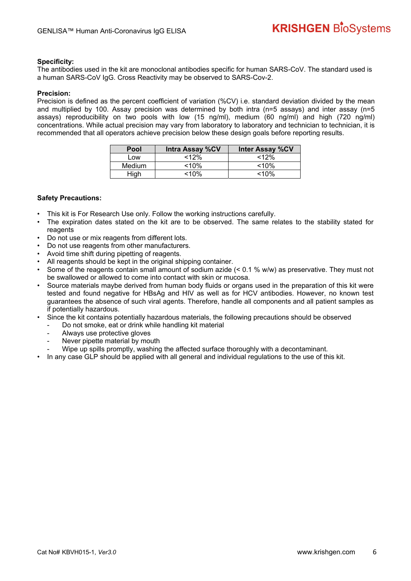### **Specificity:**

The antibodies used in the kit are monoclonal antibodies specific for human SARS-CoV. The standard used is a human SARS-CoV IgG. Cross Reactivity may be observed to SARS-Cov-2.

### **Precision:**

Precision is defined as the percent coefficient of variation (%CV) i.e. standard deviation divided by the mean and multiplied by 100. Assay precision was determined by both intra (n=5 assays) and inter assay (n=5 assays) reproducibility on two pools with low (15 ng/ml), medium (60 ng/ml) and high (720 ng/ml) concentrations. While actual precision may vary from laboratory to laboratory and technician to technician, it is recommended that all operators achieve precision below these design goals before reporting results.

| Pool   | <b>Intra Assay %CV</b> | <b>Inter Assay %CV</b> |
|--------|------------------------|------------------------|
| Low    | <12%                   | <12%                   |
| Medium | $< 10\%$               | $~10\%$                |
| High   | $<$ 10%                | $10\%$                 |

### **Safety Precautions:**

- This kit is For Research Use only. Follow the working instructions carefully.
- The expiration dates stated on the kit are to be observed. The same relates to the stability stated for reagents
- Do not use or mix reagents from different lots.
- Do not use reagents from other manufacturers.
- Avoid time shift during pipetting of reagents.
- All reagents should be kept in the original shipping container.
- Some of the reagents contain small amount of sodium azide (< 0.1 % w/w) as preservative. They must not be swallowed or allowed to come into contact with skin or mucosa.
- Source materials maybe derived from human body fluids or organs used in the preparation of this kit were tested and found negative for HBsAg and HIV as well as for HCV antibodies. However, no known test guarantees the absence of such viral agents. Therefore, handle all components and all patient samples as if potentially hazardous.
- Since the kit contains potentially hazardous materials, the following precautions should be observed
	- Do not smoke, eat or drink while handling kit material
	- Always use protective gloves
	- Never pipette material by mouth
	- Wipe up spills promptly, washing the affected surface thoroughly with a decontaminant.
- In any case GLP should be applied with all general and individual regulations to the use of this kit.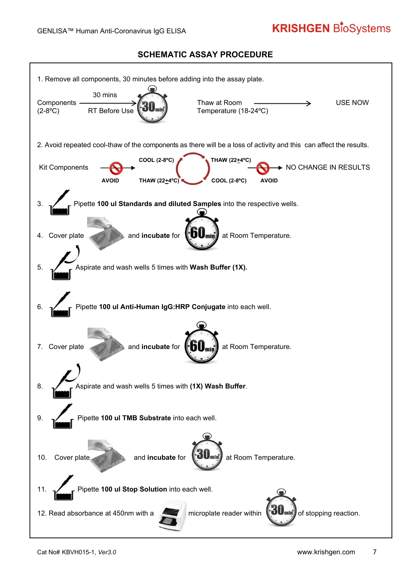# **KRISHGEN BioSystems**

### **SCHEMATIC ASSAY PROCEDURE**